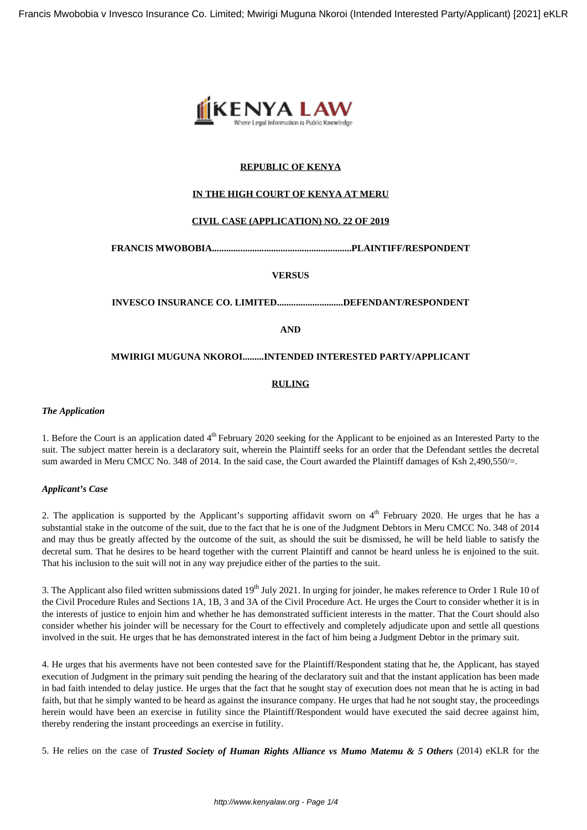

# **REPUBLIC OF KENYA**

## **IN THE HIGH COURT OF KENYA AT MERU**

## **CIVIL CASE (APPLICATION) NO. 22 OF 2019**

**FRANCIS MWOBOBIA...........................................................PLAINTIFF/RESPONDENT**

## **VERSUS**

**INVESCO INSURANCE CO. LIMITED............................DEFENDANT/RESPONDENT**

**AND**

#### **MWIRIGI MUGUNA NKOROI.........INTENDED INTERESTED PARTY/APPLICANT**

#### **RULING**

#### *The Application*

1. Before the Court is an application dated  $4<sup>th</sup>$  February 2020 seeking for the Applicant to be enjoined as an Interested Party to the suit. The subject matter herein is a declaratory suit, wherein the Plaintiff seeks for an order that the Defendant settles the decretal sum awarded in Meru CMCC No. 348 of 2014. In the said case, the Court awarded the Plaintiff damages of Ksh 2,490,550/=.

#### *Applicant's Case*

2. The application is supported by the Applicant's supporting affidavit sworn on  $4<sup>th</sup>$  February 2020. He urges that he has a substantial stake in the outcome of the suit, due to the fact that he is one of the Judgment Debtors in Meru CMCC No. 348 of 2014 and may thus be greatly affected by the outcome of the suit, as should the suit be dismissed, he will be held liable to satisfy the decretal sum. That he desires to be heard together with the current Plaintiff and cannot be heard unless he is enjoined to the suit. That his inclusion to the suit will not in any way prejudice either of the parties to the suit.

3. The Applicant also filed written submissions dated 19<sup>th</sup> July 2021. In urging for joinder, he makes reference to Order 1 Rule 10 of the Civil Procedure Rules and Sections 1A, 1B, 3 and 3A of the Civil Procedure Act. He urges the Court to consider whether it is in the interests of justice to enjoin him and whether he has demonstrated sufficient interests in the matter. That the Court should also consider whether his joinder will be necessary for the Court to effectively and completely adjudicate upon and settle all questions involved in the suit. He urges that he has demonstrated interest in the fact of him being a Judgment Debtor in the primary suit.

4. He urges that his averments have not been contested save for the Plaintiff/Respondent stating that he, the Applicant, has stayed execution of Judgment in the primary suit pending the hearing of the declaratory suit and that the instant application has been made in bad faith intended to delay justice. He urges that the fact that he sought stay of execution does not mean that he is acting in bad faith, but that he simply wanted to be heard as against the insurance company. He urges that had he not sought stay, the proceedings herein would have been an exercise in futility since the Plaintiff/Respondent would have executed the said decree against him, thereby rendering the instant proceedings an exercise in futility.

5. He relies on the case of *Trusted Society of Human Rights Alliance vs Mumo Matemu & 5 Others* (2014) eKLR for the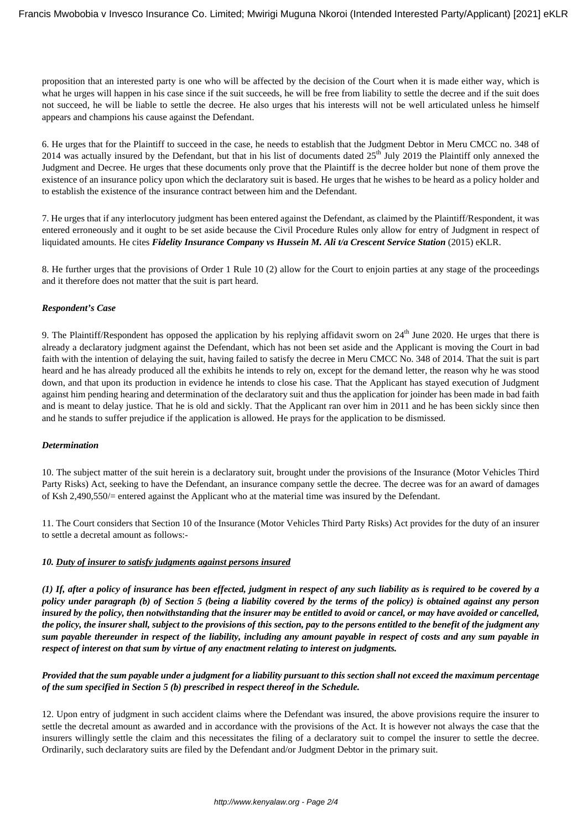proposition that an interested party is one who will be affected by the decision of the Court when it is made either way, which is what he urges will happen in his case since if the suit succeeds, he will be free from liability to settle the decree and if the suit does not succeed, he will be liable to settle the decree. He also urges that his interests will not be well articulated unless he himself appears and champions his cause against the Defendant.

6. He urges that for the Plaintiff to succeed in the case, he needs to establish that the Judgment Debtor in Meru CMCC no. 348 of 2014 was actually insured by the Defendant, but that in his list of documents dated 25<sup>th</sup> July 2019 the Plaintiff only annexed the Judgment and Decree. He urges that these documents only prove that the Plaintiff is the decree holder but none of them prove the existence of an insurance policy upon which the declaratory suit is based. He urges that he wishes to be heard as a policy holder and to establish the existence of the insurance contract between him and the Defendant.

7. He urges that if any interlocutory judgment has been entered against the Defendant, as claimed by the Plaintiff/Respondent, it was entered erroneously and it ought to be set aside because the Civil Procedure Rules only allow for entry of Judgment in respect of liquidated amounts. He cites *Fidelity Insurance Company vs Hussein M. Ali t/a Crescent Service Station* (2015) eKLR.

8. He further urges that the provisions of Order 1 Rule 10 (2) allow for the Court to enjoin parties at any stage of the proceedings and it therefore does not matter that the suit is part heard.

## *Respondent's Case*

9. The Plaintiff/Respondent has opposed the application by his replying affidavit sworn on  $24<sup>th</sup>$  June 2020. He urges that there is already a declaratory judgment against the Defendant, which has not been set aside and the Applicant is moving the Court in bad faith with the intention of delaying the suit, having failed to satisfy the decree in Meru CMCC No. 348 of 2014. That the suit is part heard and he has already produced all the exhibits he intends to rely on, except for the demand letter, the reason why he was stood down, and that upon its production in evidence he intends to close his case. That the Applicant has stayed execution of Judgment against him pending hearing and determination of the declaratory suit and thus the application for joinder has been made in bad faith and is meant to delay justice. That he is old and sickly. That the Applicant ran over him in 2011 and he has been sickly since then and he stands to suffer prejudice if the application is allowed. He prays for the application to be dismissed.

## *Determination*

10. The subject matter of the suit herein is a declaratory suit, brought under the provisions of the Insurance (Motor Vehicles Third Party Risks) Act, seeking to have the Defendant, an insurance company settle the decree. The decree was for an award of damages of Ksh 2,490,550/= entered against the Applicant who at the material time was insured by the Defendant.

11. The Court considers that Section 10 of the Insurance (Motor Vehicles Third Party Risks) Act provides for the duty of an insurer to settle a decretal amount as follows:-

## *10. Duty of insurer to satisfy judgments against persons insured*

*(1) If, after a policy of insurance has been effected, judgment in respect of any such liability as is required to be covered by a policy under paragraph (b) of Section 5 (being a liability covered by the terms of the policy) is obtained against any person insured by the policy, then notwithstanding that the insurer may be entitled to avoid or cancel, or may have avoided or cancelled, the policy, the insurer shall, subject to the provisions of this section, pay to the persons entitled to the benefit of the judgment any sum payable thereunder in respect of the liability, including any amount payable in respect of costs and any sum payable in respect of interest on that sum by virtue of any enactment relating to interest on judgments.*

*Provided that the sum payable under a judgment for a liability pursuant to this section shall not exceed the maximum percentage of the sum specified in Section 5 (b) prescribed in respect thereof in the Schedule.*

12. Upon entry of judgment in such accident claims where the Defendant was insured, the above provisions require the insurer to settle the decretal amount as awarded and in accordance with the provisions of the Act. It is however not always the case that the insurers willingly settle the claim and this necessitates the filing of a declaratory suit to compel the insurer to settle the decree. Ordinarily, such declaratory suits are filed by the Defendant and/or Judgment Debtor in the primary suit.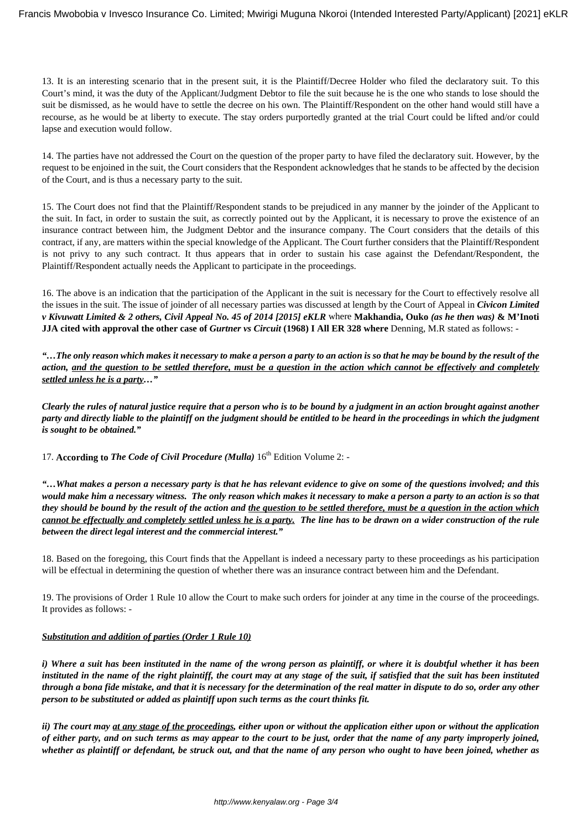13. It is an interesting scenario that in the present suit, it is the Plaintiff/Decree Holder who filed the declaratory suit. To this Court's mind, it was the duty of the Applicant/Judgment Debtor to file the suit because he is the one who stands to lose should the suit be dismissed, as he would have to settle the decree on his own. The Plaintiff/Respondent on the other hand would still have a recourse, as he would be at liberty to execute. The stay orders purportedly granted at the trial Court could be lifted and/or could lapse and execution would follow.

14. The parties have not addressed the Court on the question of the proper party to have filed the declaratory suit. However, by the request to be enjoined in the suit, the Court considers that the Respondent acknowledges that he stands to be affected by the decision of the Court, and is thus a necessary party to the suit.

15. The Court does not find that the Plaintiff/Respondent stands to be prejudiced in any manner by the joinder of the Applicant to the suit. In fact, in order to sustain the suit, as correctly pointed out by the Applicant, it is necessary to prove the existence of an insurance contract between him, the Judgment Debtor and the insurance company. The Court considers that the details of this contract, if any, are matters within the special knowledge of the Applicant. The Court further considers that the Plaintiff/Respondent is not privy to any such contract. It thus appears that in order to sustain his case against the Defendant/Respondent, the Plaintiff/Respondent actually needs the Applicant to participate in the proceedings.

16. The above is an indication that the participation of the Applicant in the suit is necessary for the Court to effectively resolve all the issues in the suit. The issue of joinder of all necessary parties was discussed at length by the Court of Appeal in *Civicon Limited v Kivuwatt Limited & 2 others, Civil Appeal No. 45 of 2014 [2015] eKLR* where **Makhandia, Ouko** *(as he then was)* **& M'Inoti JJA cited with approval the other case of** *Gurtner vs Circuit* **(1968) I All ER 328 where** Denning, M.R stated as follows: -

*"…The only reason which makes it necessary to make a person a party to an action is so that he may be bound by the result of the action, and the question to be settled therefore, must be a question in the action which cannot be effectively and completely settled unless he is a party…"*

*Clearly the rules of natural justice require that a person who is to be bound by a judgment in an action brought against another party and directly liable to the plaintiff on the judgment should be entitled to be heard in the proceedings in which the judgment is sought to be obtained."*

17. **According to** *The Code of Civil Procedure (Mulla)* 16<sup>th</sup> Edition Volume 2: -

*"…What makes a person a necessary party is that he has relevant evidence to give on some of the questions involved; and this would make him a necessary witness. The only reason which makes it necessary to make a person a party to an action is so that they should be bound by the result of the action and the question to be settled therefore, must be a question in the action which cannot be effectually and completely settled unless he is a party. The line has to be drawn on a wider construction of the rule between the direct legal interest and the commercial interest."*

18. Based on the foregoing, this Court finds that the Appellant is indeed a necessary party to these proceedings as his participation will be effectual in determining the question of whether there was an insurance contract between him and the Defendant.

19. The provisions of Order 1 Rule 10 allow the Court to make such orders for joinder at any time in the course of the proceedings. It provides as follows: -

# *Substitution and addition of parties (Order 1 Rule 10)*

*i) Where a suit has been instituted in the name of the wrong person as plaintiff, or where it is doubtful whether it has been instituted in the name of the right plaintiff, the court may at any stage of the suit, if satisfied that the suit has been instituted through a bona fide mistake, and that it is necessary for the determination of the real matter in dispute to do so, order any other person to be substituted or added as plaintiff upon such terms as the court thinks fit.*

*ii) The court may at any stage of the proceedings, either upon or without the application either upon or without the application of either party, and on such terms as may appear to the court to be just, order that the name of any party improperly joined, whether as plaintiff or defendant, be struck out, and that the name of any person who ought to have been joined, whether as*